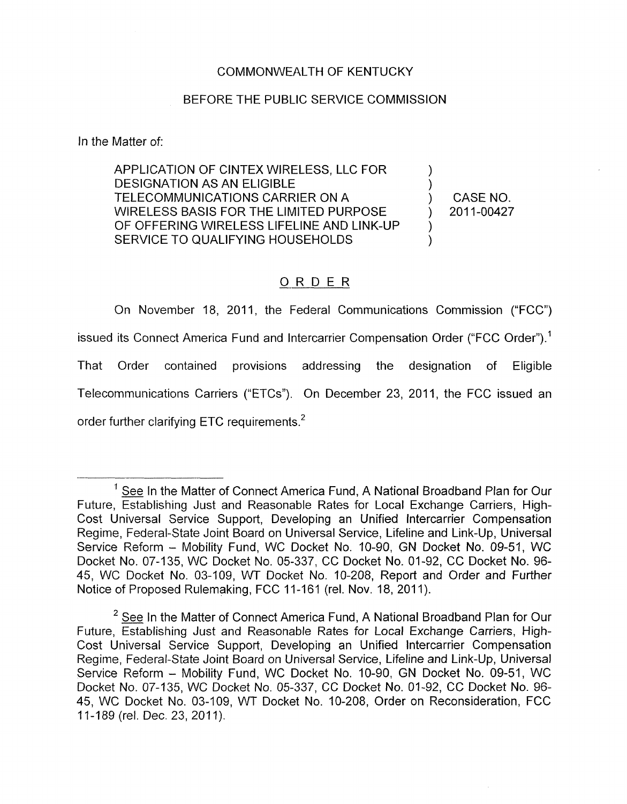## COMMONWEALTH OF KENTUCKY

## BEFORE THE PUBLIC SERVICE COMMISSION

In the Matter of:

APPLICATION OF CINTEX WIRELESS, LLC FOR  $\qquad \qquad$  )<br>DESIGNATION AS AN ELIGIBLE TELECOMMUNICATIONS CARRIER ON A  $\qquad \qquad$  CASE NO. WIRELESS BASIS FOR THE LIMITED PURPOSE  $\qquad \qquad$  2011-00427 OF OFFERING WIRELESS LIFELINE AND LINK-UP SERVICE TO QUALIFYING HOUSEHOLDS

## ORDER

On November 18, 2011, the Federal Communications Commission ("FCC") issued its Connect America Fund and Intercarrier Compensation Order ("FCC Order").<sup>1</sup>

That Order contained provisions addressing the designation of Eligible Telecommunications Carriers ("ETCs"). On December 23, 2011, the FCC issued an order further clarifying ETC requirements. $2$ 

<sup>&#</sup>x27; *See* In the Matter of Connect America Fund, A National Broadband Plan for Our Future, Establishing Just and Reasonable Rates for Local Exchange Carriers, High-Cost Universal Service Support, Developing an Unified Intercarrier Compensation Regime, Federal-State Joint Board on Universal Service, Lifeline and Link-Up, Universal Service Reform - Mobility Fund, WC Docket No. 10-90, GN Docket No. 09-51, WC Docket No. 07-135, WC Docket No. 05-337, CC Docket No. 01-92, CC Docket No. 96- 45, WC Docket No. 03-109, WT Docket No. 10-208, Report and Order and Further Notice of Proposed Rulemaking, FCC 11-161 (rel. Nov. 18, 2011).

<sup>&</sup>lt;sup>2</sup> See In the Matter of Connect America Fund, A National Broadband Plan for Our Future, Establishing Just and Reasonable Rates for Local Exchange Carriers, High-Cost Universal Service Support, Developing an Unified Intercarrier Compensation Regime, Federal-State Joint Board on Universal Service, Lifeline and Link-Up, Universal Service Reform - Mobility Fund, WC Docket No. 10-90, GN Docket No. 09-51, WC Docket No. 07-135, WC Docket No. 05-337, CC Docket No. 01-92, CC Docket No. 96- 45, WC Docket No. 03-109, WT Docket No. 10-208, Order on Reconsideration, FCC 11-189 (rel. Dec. 23, 201 I).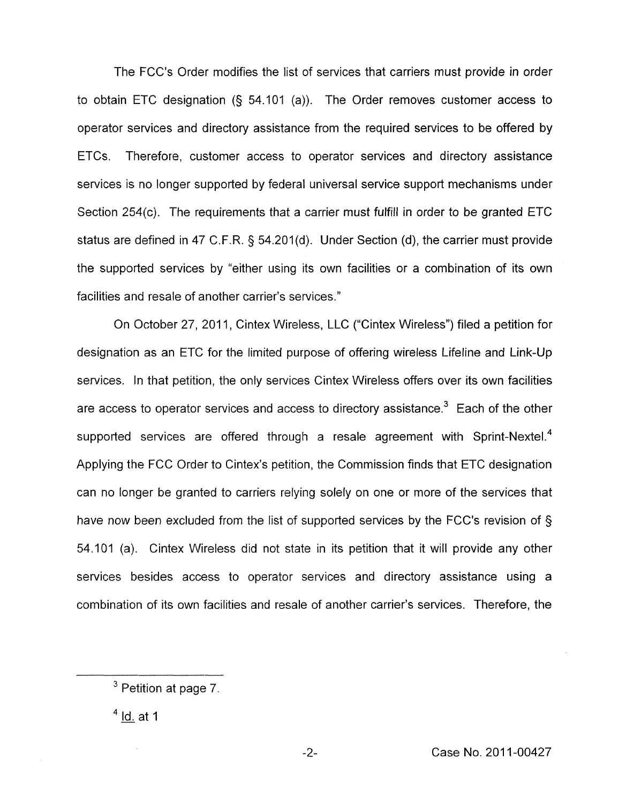The FCC's Order modifies the list of services that carriers must provide in order to obtain ETC designation *(3* 54.101 (a)). The Order removes customer access to operator services and directory assistance from the required services to be offered by ETCs. Therefore, customer access to operator services and directory assistance services is no longer supported by federal universal service support mechanisms under Section 254(c). The requirements that a carrier must fulfill in order to be granted ETC status are defined in 47 C.F.R. *5* 54.201(d). Under Section (d), the carrier must provide the supported services by "either using its own facilities or a combination of its own facilities and resale of another carrier's services."

On October 27, 2011, Cintex Wireless, LLC ("Cintex Wireless") filed a petition for designation as an ETC for the limited purpose of offering wireless Lifeline and Link-Up services. In that petition, the only services Cintex Wireless offers over its own facilities are access to operator services and access to directory assistance. $3$  Each of the other supported services are offered through a resale agreement with Sprint-Nextel.<sup>4</sup> Applying the FCC Order to Cintex's petition, the Commission finds that ETC designation can no longer be granted to carriers relying solely on one or more of the services that have now been excluded from the list of supported services by the FCC's revision of § 54.101 (a). Cintex Wireless did not state in its petition that it will provide any other services besides access to operator services and directory assistance using a combination of its own facilities and resale of another carrier's services. Therefore, the

Petition at page 7.<br><u>Id.</u> at 1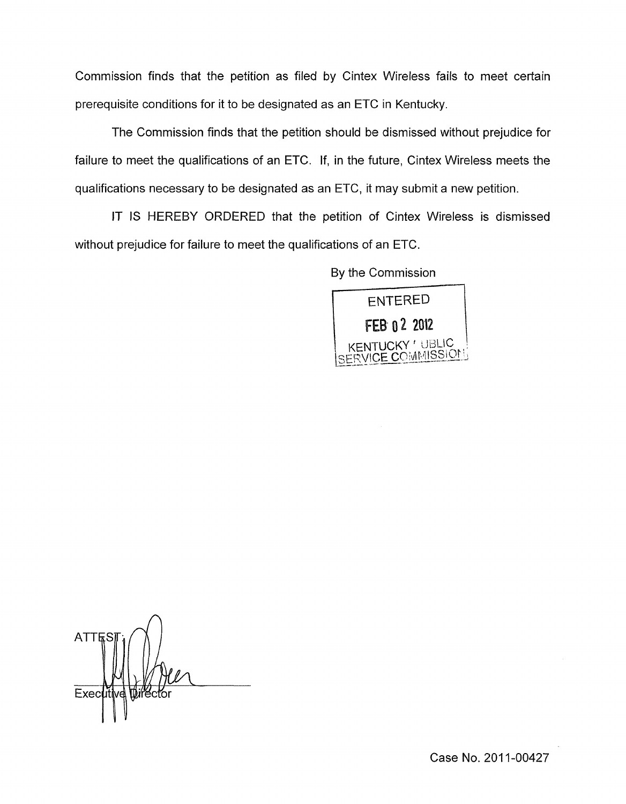Commission finds that the petition as filed by Cintex Wireless fails to meet certain prerequisite conditions for it to be designated as an ETC in Kentucky.

The Commission finds that the petition should be dismissed without prejudice for failure to meet the qualifications of an ETC. If, in the future, Cintex Wireless meets the qualifications necessary to be designated as an ETC, it may submit a new petition.

IT IS HEREBY ORDERED that the petition of Cintex Wireless is dismissed without prejudice for failure to meet the qualifications of an ETC.



 $\bigcap$ **ATTE** Exec

Case No. 2011-00427